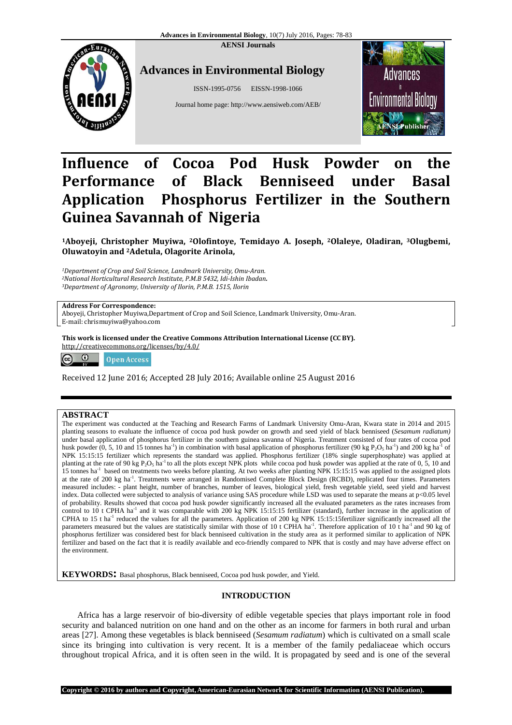**AENSI Journals** 



## **Advances in Environmental Biology**

ISSN-1995-0756 EISSN-1998-1066

Journal home page: http://www.aensiweb.com/AEB/



# **Influence of Cocoa Pod Husk Powder on the Performance of Black Benniseed under Basal Application Phosphorus Fertilizer in the Southern Guinea Savannah of Nigeria**

**<sup>1</sup>Aboyeji, Christopher Muyiwa, 2Olofintoye, Temidayo A. Joseph, 2Olaleye, Oladiran, 3Olugbemi, Oluwatoyin and 2Adetula, Olagorite Arinola,** 

*<sup>1</sup>Department of Crop and Soil Science, Landmark University, Omu-Aran. <sup>2</sup>National Horticultural Research Institute, P.M.B 5432, Idi-Ishin Ibadan. <sup>3</sup>Department of Agronomy, University of Ilorin, P.M.B. 1515, Ilorin*

**Address For Correspondence:** 

Aboyeji, Christopher Muyiwa,Department of Crop and Soil Science, Landmark University, Omu-Aran. E-mail: chrismuyiwa@yahoo.com

**This work is licensed under the Creative Commons Attribution International License (CC BY).** http://creativecommons.org/licenses/by/4.0/

 $\circledcirc$ **Open Access** 

Received 12 June 2016; Accepted 28 July 2016; Available online 25 August 2016

## **ABSTRACT**

The experiment was conducted at the Teaching and Research Farms of Landmark University Omu-Aran, Kwara state in 2014 and 2015 planting seasons to evaluate the influence of cocoa pod husk powder on growth and seed yield of black benniseed (*Sesamum radiatum)* under basal application of phosphorus fertilizer in the southern guinea savanna of Nigeria. Treatment consisted of four rates of cocoa pod husk powder  $(0, 5, 10$  and  $15$  tonnes ha<sup>-1</sup>) in combination with basal application of phosphorus fertilizer (90 kg P<sub>2</sub>O<sub>5</sub> ha<sup>-1</sup>) and 200 kg ha<sup>-1</sup> of NPK 15:15:15 fertilizer which represents the standard was applied. Phosphorus fertilizer (18% single superphosphate) was applied at planting at the rate of 90 kg  $P_2O_5$  ha<sup>-1</sup> to all the plots except NPK plots while cocoa pod husk powder was applied at the rate of 0, 5, 10 and 15 tonnes ha<sup>-1</sup> based on treatments two weeks before planting. At two weeks after planting NPK 15:15:15 was applied to the assigned plots at the rate of 200 kg ha-1. Treatments were arranged in Randomised Complete Block Design (RCBD), replicated four times. Parameters measured includes: - plant height, number of branches, number of leaves, biological yield, fresh vegetable yield, seed yield and harvest index. Data collected were subjected to analysis of variance using SAS procedure while LSD was used to separate the means at p<0.05 level of probability. Results showed that cocoa pod husk powder significantly increased all the evaluated parameters as the rates increases from control to 10 t CPHA ha<sup>-1</sup> and it was comparable with 200 kg NPK 15:15:15 fertilizer (standard), further increase in the application of CPHA to 15 t ha<sup>-1</sup> reduced the values for all the parameters. Application of 200 kg NPK 15:15:15fertilizer significantly increased all the parameters measured but the values are statistically similar with those of 10 t CPHA ha<sup>-1</sup>. Therefore application of 10 t ha<sup>-1</sup> and 90 kg of phosphorus fertilizer was considered best for black benniseed cultivation in the study area as it performed similar to application of NPK fertilizer and based on the fact that it is readily available and eco-friendly compared to NPK that is costly and may have adverse effect on the environment.

**KEYWORDS:** Basal phosphorus, Black benniseed, Cocoa pod husk powder, and Yield.

## **INTRODUCTION**

Africa has a large reservoir of bio-diversity of edible vegetable species that plays important role in food security and balanced nutrition on one hand and on the other as an income for farmers in both rural and urban areas [27]. Among these vegetables is black benniseed (*Sesamum radiatum*) which is cultivated on a small scale since its bringing into cultivation is very recent. It is a member of the family pedaliaceae which occurs throughout tropical Africa, and it is often seen in the wild. It is propagated by seed and is one of the several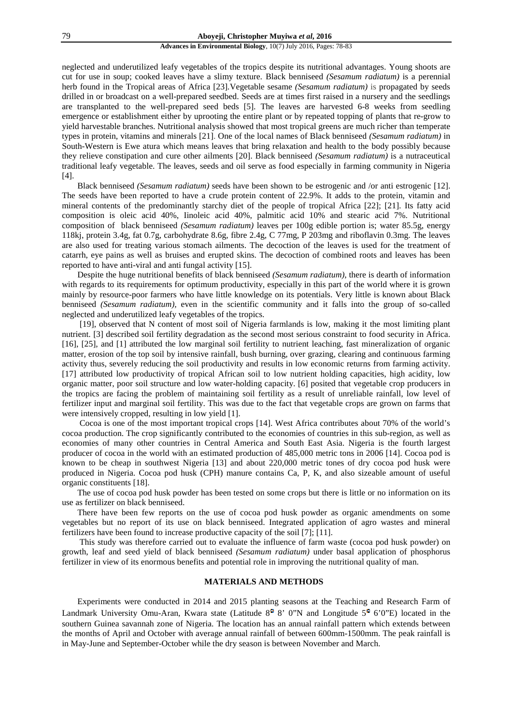neglected and underutilized leafy vegetables of the tropics despite its nutritional advantages. Young shoots are cut for use in soup; cooked leaves have a slimy texture. Black benniseed *(Sesamum radiatum)* is a perennial herb found in the Tropical areas of Africa [23]*.*Vegetable sesame *(Sesamum radiatum)* is propagated by seeds drilled in or broadcast on a well-prepared seedbed. Seeds are at times first raised in a nursery and the seedlings are transplanted to the well-prepared seed beds [5]. The leaves are harvested 6-8 weeks from seedling emergence or establishment either by uprooting the entire plant or by repeated topping of plants that re-grow to yield harvestable branches. Nutritional analysis showed that most tropical greens are much richer than temperate types in protein, vitamins and minerals [21]. One of the local names of Black benniseed *(Sesamum radiatum)* in South-Western is Ewe atura which means leaves that bring relaxation and health to the body possibly because they relieve constipation and cure other ailments [20]. Black benniseed *(Sesamum radiatum)* is a nutraceutical traditional leafy vegetable. The leaves, seeds and oil serve as food especially in farming community in Nigeria [4].

Black benniseed *(Sesamum radiatum)* seeds have been shown to be estrogenic and /or anti estrogenic [12]. The seeds have been reported to have a crude protein content of 22.9%. It adds to the protein, vitamin and mineral contents of the predominantly starchy diet of the people of tropical Africa [22]; [21]. Its fatty acid composition is oleic acid 40%, Iinoleic acid 40%, palmitic acid 10% and stearic acid 7%. Nutritional composition of black benniseed *(Sesamum radiatum)* leaves per 100g edible portion is; water 85.5g, energy 118kj, protein 3.4g, fat 0.7g, carbohydrate 8.6g, fibre 2.4g, C 77mg, P 203mg and riboflavin 0.3mg. The leaves are also used for treating various stomach ailments. The decoction of the leaves is used for the treatment of catarrh, eye pains as well as bruises and erupted skins. The decoction of combined roots and leaves has been reported to have anti-viral and anti fungal activity [15].

Despite the huge nutritional benefits of black benniseed *(Sesamum radiatum)*, there is dearth of information with regards to its requirements for optimum productivity, especially in this part of the world where it is grown mainly by resource-poor farmers who have little knowledge on its potentials. Very little is known about Black benniseed *(Sesamum radiatum),* even in the scientific community and it falls into the group of so-called neglected and underutilized leafy vegetables of the tropics.

 [19], observed that N content of most soil of Nigeria farmlands is low, making it the most limiting plant nutrient. [3] described soil fertility degradation as the second most serious constraint to food security in Africa. [16], [25], and [1] attributed the low marginal soil fertility to nutrient leaching, fast mineralization of organic matter, erosion of the top soil by intensive rainfall, bush burning, over grazing, clearing and continuous farming activity thus, severely reducing the soil productivity and results in low economic returns from farming activity. [17] attributed low productivity of tropical African soil to low nutrient holding capacities, high acidity, low organic matter, poor soil structure and low water-holding capacity. [6] posited that vegetable crop producers in the tropics are facing the problem of maintaining soil fertility as a result of unreliable rainfall, low level of fertilizer input and marginal soil fertility. This was due to the fact that vegetable crops are grown on farms that were intensively cropped, resulting in low yield [1].

 Cocoa is one of the most important tropical crops [14]. West Africa contributes about 70% of the world's cocoa production. The crop significantly contributed to the economies of countries in this sub-region, as well as economies of many other countries in Central America and South East Asia. Nigeria is the fourth largest producer of cocoa in the world with an estimated production of 485,000 metric tons in 2006 [14]. Cocoa pod is known to be cheap in southwest Nigeria [13] and about 220,000 metric tones of dry cocoa pod husk were produced in Nigeria. Cocoa pod husk (CPH) manure contains Ca, P, K, and also sizeable amount of useful organic constituents [18].

The use of cocoa pod husk powder has been tested on some crops but there is little or no information on its use as fertilizer on black benniseed.

There have been few reports on the use of cocoa pod husk powder as organic amendments on some vegetables but no report of its use on black benniseed. Integrated application of agro wastes and mineral fertilizers have been found to increase productive capacity of the soil [7]; [11].

 This study was therefore carried out to evaluate the influence of farm waste (cocoa pod husk powder) on growth, leaf and seed yield of black benniseed *(Sesamum radiatum)* under basal application of phosphorus fertilizer in view of its enormous benefits and potential role in improving the nutritional quality of man.

## **MATERIALS AND METHODS**

Experiments were conducted in 2014 and 2015 planting seasons at the Teaching and Research Farm of Landmark University Omu-Aran, Kwara state (Latitude  $8^{\circ}$  8' 0"N and Longitude  $5^{\circ}$  6'0"E) located in the southern Guinea savannah zone of Nigeria. The location has an annual rainfall pattern which extends between the months of April and October with average annual rainfall of between 600mm-1500mm. The peak rainfall is in May-June and September-October while the dry season is between November and March.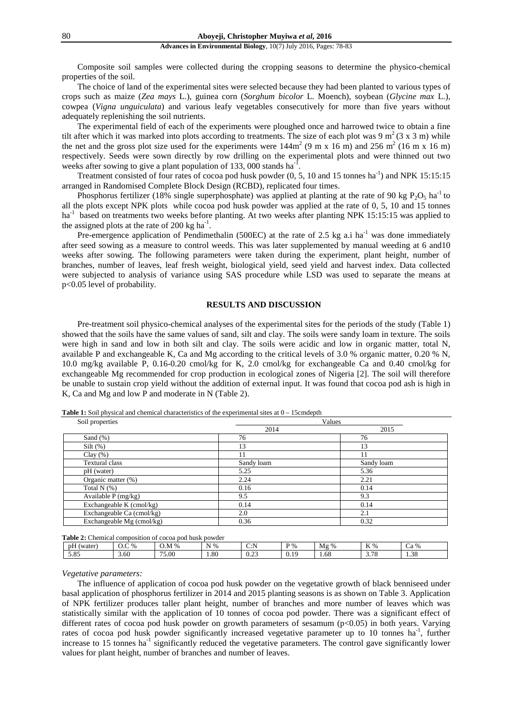Composite soil samples were collected during the cropping seasons to determine the physico-chemical properties of the soil.

The choice of land of the experimental sites were selected because they had been planted to various types of crops such as maize (*Zea mays* L.), guinea corn (*Sorghum bicolor* L. Moench), soybean (*Glycine max* L.), cowpea (*Vigna unguiculata*) and various leafy vegetables consecutively for more than five years without adequately replenishing the soil nutrients.

The experimental field of each of the experiments were ploughed once and harrowed twice to obtain a fine tilt after which it was marked into plots according to treatments. The size of each plot was 9 m<sup>2</sup>(3 x 3 m) while the net and the gross plot size used for the experiments were  $144m^2 (9 \text{ m x } 16 \text{ m})$  and  $256 m^2 (16 \text{ m x } 16 \text{ m})$ respectively. Seeds were sown directly by row drilling on the experimental plots and were thinned out two weeks after sowing to give a plant population of 133, 000 stands  $ha^{-1}$ .

Treatment consisted of four rates of cocoa pod husk powder  $(0, 5, 10 \text{ and } 15 \text{ tonnes ha}^{-1})$  and NPK 15:15:15 arranged in Randomised Complete Block Design (RCBD), replicated four times.

Phosphorus fertilizer (18% single superphosphate) was applied at planting at the rate of 90 kg P<sub>2</sub>O<sub>5</sub> ha<sup>-1</sup> to all the plots except NPK plots while cocoa pod husk powder was applied at the rate of 0, 5, 10 and 15 tonnes ha<sup>-1</sup> based on treatments two weeks before planting. At two weeks after planting NPK 15:15:15 was applied to the assigned plots at the rate of 200 kg  $ha^{-1}$ .

Pre-emergence application of Pendimethalin (500EC) at the rate of 2.5 kg a.i ha<sup>-1</sup> was done immediately after seed sowing as a measure to control weeds. This was later supplemented by manual weeding at 6 and10 weeks after sowing. The following parameters were taken during the experiment, plant height, number of branches, number of leaves, leaf fresh weight, biological yield, seed yield and harvest index. Data collected were subjected to analysis of variance using SAS procedure while LSD was used to separate the means at p<0.05 level of probability.

## **RESULTS AND DISCUSSION**

Pre-treatment soil physico-chemical analyses of the experimental sites for the periods of the study (Table 1) showed that the soils have the same values of sand, silt and clay. The soils were sandy loam in texture. The soils were high in sand and low in both silt and clay. The soils were acidic and low in organic matter, total N, available P and exchangeable K, Ca and Mg according to the critical levels of 3.0 % organic matter, 0.20 % N, 10.0 mg/kg available P, 0.16-0.20 cmol/kg for K, 2.0 cmol/kg for exchangeable Ca and 0.40 cmol/kg for exchangeable Mg recommended for crop production in ecological zones of Nigeria [2]. The soil will therefore be unable to sustain crop yield without the addition of external input. It was found that cocoa pod ash is high in K, Ca and Mg and low P and moderate in N (Table 2).

| Soil properties           | Values     |            |  |  |  |
|---------------------------|------------|------------|--|--|--|
|                           | 2014       | 2015       |  |  |  |
| Sand $(\%)$               | 76         | 76         |  |  |  |
| $Silt$ (%)                | 13         | 13         |  |  |  |
| Clay $(\%)$               |            |            |  |  |  |
| Textural class            | Sandy loam | Sandy loam |  |  |  |
| pH (water)                | 5.25       | 5.36       |  |  |  |
| Organic matter (%)        | 2.24       | 2.21       |  |  |  |
| Total $N$ $(\%)$          | 0.16       | 0.14       |  |  |  |
| Available P (mg/kg)       | 9.5        | 9.3        |  |  |  |
| Exchangeable K (cmol/kg)  | 0.14       | 0.14       |  |  |  |
| Exchangeable Ca (cmol/kg) | 2.0        | 2.1        |  |  |  |
| Exchangeable Mg (cmol/kg) | 0.36       | 0.32       |  |  |  |

**Table 1:** Soil physical and chemical characteristics of the experimental sites at 0 – 15cmdepth

**Table 2:** Chemical composition of cocoa pod husk powder

| $-$<br>pH<br>(water | $\degree$ %<br>$\sim$ | M%<br>O.M      | N %  | $\cap$ N<br>◡                | $D_0$<br>70 | -<br>$\%$<br>Mφ | $TZ$ 0.<br>в.<br>$\mathbf{r}$ | -<br>`a %<br>Uά    |
|---------------------|-----------------------|----------------|------|------------------------------|-------------|-----------------|-------------------------------|--------------------|
| 5.85                | 3.60                  | $- -$<br>75.00 | 1.80 | $\sim$ $\sim$<br><u>v. J</u> | 0.10<br>0.1 | 1.68            | 70<br>J.IO                    | $\Omega$<br>יי<br> |

*Vegetative parameters:* 

The influence of application of cocoa pod husk powder on the vegetative growth of black benniseed under basal application of phosphorus fertilizer in 2014 and 2015 planting seasons is as shown on Table 3. Application of NPK fertilizer produces taller plant height, number of branches and more number of leaves which was statistically similar with the application of 10 tonnes of cocoa pod powder. There was a significant effect of different rates of cocoa pod husk powder on growth parameters of sesamum (p<0.05) in both years. Varying rates of cocoa pod husk powder significantly increased vegetative parameter up to 10 tonnes ha<sup>-1</sup>, further increase to 15 tonnes ha<sup>-1</sup> significantly reduced the vegetative parameters. The control gave significantly lower values for plant height, number of branches and number of leaves.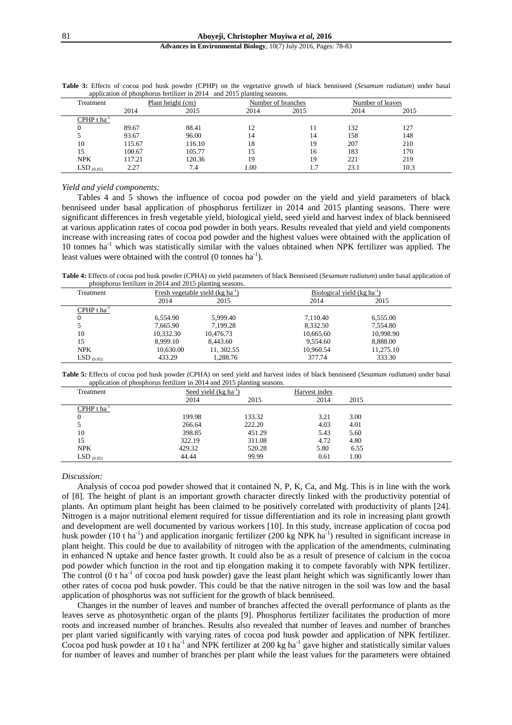|                 |                   | application of phosphorus refunzer in $2014$ and $2013$ planting seasons. |                    |      |                  |      |  |
|-----------------|-------------------|---------------------------------------------------------------------------|--------------------|------|------------------|------|--|
| Treatment       | Plant height (cm) |                                                                           | Number of branches |      | Number of leaves |      |  |
|                 | 2014              | 2015                                                                      | 2014               | 2015 | 2014             | 2015 |  |
| CPHP t ha       |                   |                                                                           |                    |      |                  |      |  |
|                 | 89.67             | 88.41                                                                     | 12                 | 11   | 132              | 127  |  |
|                 | 93.67             | 96.00                                                                     | 14                 | 14   | 158              | 148  |  |
| 10              | 115.67            | 116.10                                                                    | 18                 | 19   | 207              | 210  |  |
| 15              | 100.67            | 105.77                                                                    | 15                 | 16   | 183              | 170  |  |
| <b>NPK</b>      | 117.21            | 120.36                                                                    | 19                 | 19   | 221              | 219  |  |
| LSD $_{(0.05)}$ | 2.27              | 7.4                                                                       | 1.00               | 1.7  | 23.1             | 10.3 |  |

**Table 3:** Effects of cocoa pod husk powder (CPHP) on the vegetative growth of black benniseed (*Sesamum radiatum*) under basal  $\frac{1}{2}$  phosphorus fertilizer in 2014 and 2015 planting

#### *Yield and yield components:*

Tables 4 and 5 shows the influence of cocoa pod powder on the yield and yield parameters of black benniseed under basal application of phosphorus fertilizer in 2014 and 2015 planting seasons. There were significant differences in fresh vegetable yield, biological yield, seed yield and harvest index of black benniseed at various application rates of cocoa pod powder in both years. Results revealed that yield and yield components increase with increasing rates of cocoa pod powder and the highest values were obtained with the application of 10 tonnes ha<sup>-1</sup> which was statistically similar with the values obtained when NPK fertilizer was applied. The least values were obtained with the control  $(0 \text{ tonnes ha}^{-1})$ .

**Table 4:** Effects of cocoa pod husk powder (CPHA) on yield parameters of black Benniseed (*Sesamum radiatum*) under basal application of phosphorus fertilizer in 2014 and 2015 planting seasons.

| Treatment                 |           | Fresh vegetable yield $(kg ha^{-1})$ | Biological yield (kg ha <sup>-1</sup> ) |           |  |
|---------------------------|-----------|--------------------------------------|-----------------------------------------|-----------|--|
|                           | 2014      | 2015                                 | 2014                                    | 2015      |  |
| $CPHP$ t ha <sup>-1</sup> |           |                                      |                                         |           |  |
|                           | 6,554.90  | 5.999.40                             | 7.110.40                                | 6,555.00  |  |
|                           | 7.665.90  | 7.199.28                             | 8.332.50                                | 7.554.80  |  |
| 10                        | 10,332.30 | 10,476.73                            | 10,665.60                               | 10,998.90 |  |
| 15                        | 8.999.10  | 8.443.60                             | 9.554.60                                | 8,888.00  |  |
| <b>NPK</b>                | 10.630.00 | 11, 302.55                           | 10.960.54                               | 11,275.10 |  |
| $LSD_{(0.05)}$            | 433.29    | 1.288.76                             | 377.74                                  | 333.30    |  |

|                                                                         | <b>Table 5:</b> Effects of cocoa pod husk powder (CPHA) on seed yield and harvest index of black benniseed (Sesamum radiatum) under basal |
|-------------------------------------------------------------------------|-------------------------------------------------------------------------------------------------------------------------------------------|
| application of phosphorus fertilizer in 2014 and 2015 planting seasons. |                                                                                                                                           |

| . .<br>Treatment          | Seed yield $(kg ha^{-1})$ |        | Harvest index |      |  |
|---------------------------|---------------------------|--------|---------------|------|--|
|                           | 2014                      | 2015   | 2014          | 2015 |  |
| CPHP $t$ ha <sup>-1</sup> |                           |        |               |      |  |
| 0                         | 199.98                    | 133.32 | 3.21          | 3.00 |  |
|                           | 266.64                    | 222.20 | 4.03          | 4.01 |  |
| 10                        | 398.85                    | 451.29 | 5.43          | 5.60 |  |
| 15                        | 322.19                    | 311.08 | 4.72          | 4.80 |  |
| <b>NPK</b>                | 429.32                    | 520.28 | 5.80          | 6.55 |  |
| $LSD$ (0.05)              | 44.44                     | 99.99  | 0.61          | 1.00 |  |

#### *Discussion:*

Analysis of cocoa pod powder showed that it contained N, P, K, Ca, and Mg. This is in line with the work of [8]. The height of plant is an important growth character directly linked with the productivity potential of plants. An optimum plant height has been claimed to be positively correlated with productivity of plants [24]. Nitrogen is a major nutritional element required for tissue differentiation and its role in increasing plant growth and development are well documented by various workers [10]. In this study, increase application of cocoa pod husk powder (10 t ha<sup>-1</sup>) and application inorganic fertilizer (200 kg NPK ha<sup>-1</sup>) resulted in significant increase in plant height. This could be due to availability of nitrogen with the application of the amendments, culminating in enhanced N uptake and hence faster growth. It could also be as a result of presence of calcium in the cocoa pod powder which function in the root and tip elongation making it to compete favorably with NPK fertilizer. The control (0 t ha<sup>-1</sup> of cocoa pod husk powder) gave the least plant height which was significantly lower than other rates of cocoa pod husk powder. This could be that the native nitrogen in the soil was low and the basal application of phosphorus was not sufficient for the growth of black benniseed.

Changes in the number of leaves and number of branches affected the overall performance of plants as the leaves serve as photosynthetic organ of the plants [9]. Phosphorus fertilizer facilitates the production of more roots and increased number of branches. Results also revealed that number of leaves and number of branches per plant varied significantly with varying rates of cocoa pod husk powder and application of NPK fertilizer. Cocoa pod husk powder at 10 t ha<sup>-1</sup> and NPK fertilizer at 200 kg ha<sup>-1</sup> gave higher and statistically similar values for number of leaves and number of branches per plant while the least values for the parameters were obtained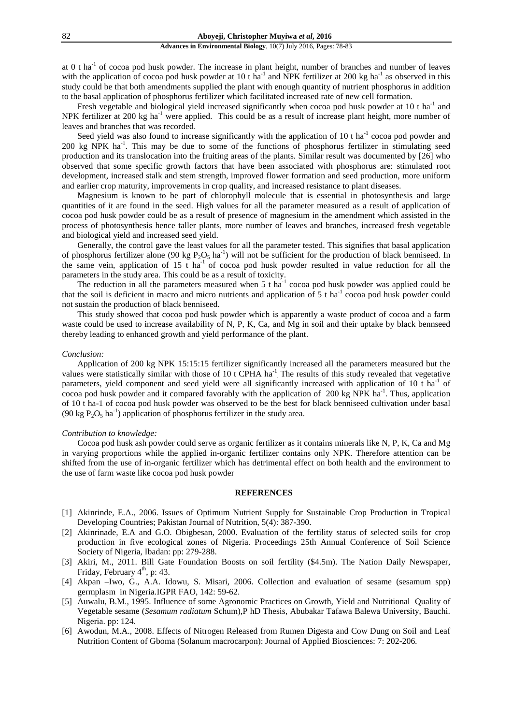at 0 t ha-1 of cocoa pod husk powder. The increase in plant height, number of branches and number of leaves with the application of cocoa pod husk powder at 10 t ha<sup>-1</sup> and NPK fertilizer at 200 kg ha<sup>-1</sup> as observed in this study could be that both amendments supplied the plant with enough quantity of nutrient phosphorus in addition to the basal application of phosphorus fertilizer which facilitated increased rate of new cell formation.

Fresh vegetable and biological yield increased significantly when cocoa pod husk powder at 10 t ha<sup>-1</sup> and NPK fertilizer at 200 kg ha<sup>-1</sup> were applied. This could be as a result of increase plant height, more number of leaves and branches that was recorded.

Seed yield was also found to increase significantly with the application of 10 t ha<sup>-1</sup> cocoa pod powder and 200 kg NPK ha-1. This may be due to some of the functions of phosphorus fertilizer in stimulating seed production and its translocation into the fruiting areas of the plants. Similar result was documented by [26] who observed that some specific growth factors that have been associated with phosphorus are: stimulated root development, increased stalk and stem strength, improved flower formation and seed production, more uniform and earlier crop maturity, improvements in crop quality, and increased resistance to plant diseases.

Magnesium is known to be part of chlorophyll molecule that is essential in photosynthesis and large quantities of it are found in the seed. High values for all the parameter measured as a result of application of cocoa pod husk powder could be as a result of presence of magnesium in the amendment which assisted in the process of photosynthesis hence taller plants, more number of leaves and branches, increased fresh vegetable and biological yield and increased seed yield.

Generally, the control gave the least values for all the parameter tested. This signifies that basal application of phosphorus fertilizer alone (90 kg  $P_2O_5$  ha<sup>-1</sup>) will not be sufficient for the production of black benniseed. In the same vein, application of 15 t ha<sup>-1</sup> of cocoa pod husk powder resulted in value reduction for all the parameters in the study area. This could be as a result of toxicity.

The reduction in all the parameters measured when  $5$  t ha<sup>-1</sup> cocoa pod husk powder was applied could be that the soil is deficient in macro and micro nutrients and application of 5 t ha<sup>-1</sup> cocoa pod husk powder could not sustain the production of black benniseed.

This study showed that cocoa pod husk powder which is apparently a waste product of cocoa and a farm waste could be used to increase availability of N, P, K, Ca, and Mg in soil and their uptake by black bennseed thereby leading to enhanced growth and yield performance of the plant.

#### *Conclusion:*

Application of 200 kg NPK 15:15:15 fertilizer significantly increased all the parameters measured but the values were statistically similar with those of 10 t CPHA ha<sup>-1</sup>. The results of this study revealed that vegetative parameters, yield component and seed yield were all significantly increased with application of 10 t ha<sup>-1</sup> of cocoa pod husk powder and it compared favorably with the application of 200 kg NPK ha<sup>-1</sup>. Thus, application of 10 t ha-1 of cocoa pod husk powder was observed to be the best for black benniseed cultivation under basal (90 kg  $P_2O_5$  ha<sup>-1</sup>) application of phosphorus fertilizer in the study area.

## *Contribution to knowledge:*

Cocoa pod husk ash powder could serve as organic fertilizer as it contains minerals like N, P, K, Ca and Mg in varying proportions while the applied in-organic fertilizer contains only NPK. Therefore attention can be shifted from the use of in-organic fertilizer which has detrimental effect on both health and the environment to the use of farm waste like cocoa pod husk powder

## **REFERENCES**

- [1] Akinrinde, E.A., 2006. Issues of Optimum Nutrient Supply for Sustainable Crop Production in Tropical Developing Countries; Pakistan Journal of Nutrition, 5(4): 387-390.
- [2] Akinrinade, E.A and G.O. Obigbesan, 2000. Evaluation of the fertility status of selected soils for crop production in five ecological zones of Nigeria. Proceedings 25th Annual Conference of Soil Science Society of Nigeria, Ibadan: pp: 279-288.
- [3] Akiri, M., 2011. Bill Gate Foundation Boosts on soil fertility (\$4.5m). The Nation Daily Newspaper, Friday, February 4<sup>th</sup>, p: 43.
- [4] Akpan –Iwo, G., A.A. Idowu, S. Misari, 2006. Collection and evaluation of sesame (sesamum spp) germplasm in Nigeria.IGPR FAO, 142: 59-62.
- [5] Auwalu, B.M., 1995. Influence of some Agronomic Practices on Growth, Yield and Nutritional Quality of Vegetable sesame (*Sesamum radiatum* Schum),P hD Thesis, Abubakar Tafawa Balewa University, Bauchi. Nigeria. pp: 124.
- [6] Awodun, M.A., 2008. Effects of Nitrogen Released from Rumen Digesta and Cow Dung on Soil and Leaf Nutrition Content of Gboma (Solanum macrocarpon): Journal of Applied Biosciences: 7: 202-206*.*